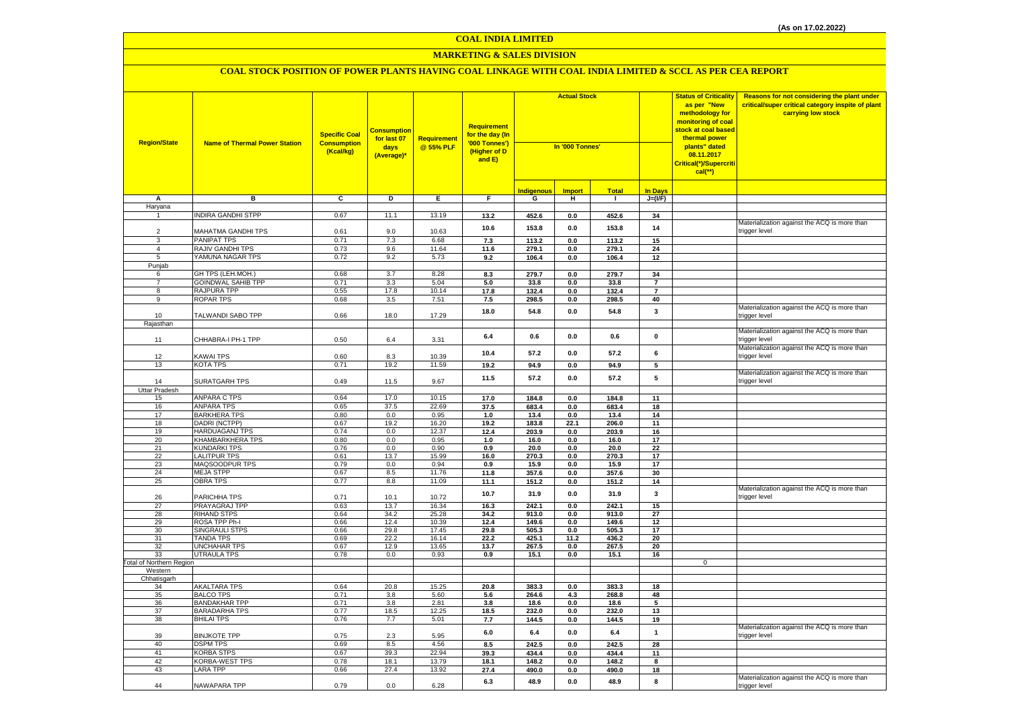#### **MARKETING & SALES DIVISION**

| <b>Region/State</b>             | <b>Name of Thermal Power Station</b>         | <b>Specific Coal</b><br><b>Consumption</b><br>(Kcal/kg) | <b>Consumption</b><br>for last 07<br>days<br>(Average)* | <b>Requirement</b><br>@ 55% PLF | Requirement<br>for the day (In<br>'000 Tonnes')<br>(Higher of D<br>and E) | <b>Actual Stock</b><br>In '000 Tonnes' |                |                | <b>Status of Criticality</b><br>as per "New<br>methodology for<br>monitoring of coal<br><mark>stock at coal based</mark><br>thermal power<br>plants" dated<br>08.11.2017<br>Critical(*)/Supercriti<br>$cal$ (**) | Reasons for not considering the plant under<br>critical/super critical category inspite of plant<br>carrying low stock |                                                               |
|---------------------------------|----------------------------------------------|---------------------------------------------------------|---------------------------------------------------------|---------------------------------|---------------------------------------------------------------------------|----------------------------------------|----------------|----------------|------------------------------------------------------------------------------------------------------------------------------------------------------------------------------------------------------------------|------------------------------------------------------------------------------------------------------------------------|---------------------------------------------------------------|
|                                 |                                              |                                                         |                                                         |                                 |                                                                           | <b>Indigenous</b>                      | <b>Import</b>  | <b>Total</b>   | <b>In Days</b>                                                                                                                                                                                                   |                                                                                                                        |                                                               |
| Α                               | в                                            | C                                                       | D                                                       | Е.                              | F.                                                                        | G                                      | н              | $\mathbf{I}$   | $J=(VF)$                                                                                                                                                                                                         |                                                                                                                        |                                                               |
| Haryana                         |                                              |                                                         |                                                         |                                 |                                                                           |                                        |                |                |                                                                                                                                                                                                                  |                                                                                                                        |                                                               |
| $\mathbf{1}$                    | <b>INDIRA GANDHI STPP</b>                    | 0.67                                                    | 11.1                                                    | 13.19                           | 13.2                                                                      | 452.6                                  | 0.0            | 452.6          | 34                                                                                                                                                                                                               |                                                                                                                        |                                                               |
|                                 |                                              |                                                         |                                                         |                                 | 10.6                                                                      | 153.8                                  | 0.0            | 153.8          | 14                                                                                                                                                                                                               |                                                                                                                        | Materialization against the ACQ is more than                  |
| $\mathcal{P}$<br>$\mathbf{B}$   | MAHATMA GANDHI TPS                           | 0.61                                                    | 9.0                                                     | 10.63                           |                                                                           |                                        |                |                |                                                                                                                                                                                                                  |                                                                                                                        | trigger level                                                 |
| $\overline{4}$                  | <b>PANIPAT TPS</b><br>RAJIV GANDHI TPS       | 0.71<br>0.73                                            | 7.3<br>9.6                                              | 6.68<br>11.64                   | 7.3<br>11.6                                                               | 113.2                                  | 0.0            | 113.2          | 15<br>24                                                                                                                                                                                                         |                                                                                                                        |                                                               |
| 5                               | YAMUNA NAGAR TPS                             | 0.72                                                    | 9.2                                                     | 5.73                            | 9.2                                                                       | 279.1<br>106.4                         | 0.0<br>$0.0\,$ | 279.1<br>106.4 | $12\,$                                                                                                                                                                                                           |                                                                                                                        |                                                               |
| Punjab                          |                                              |                                                         |                                                         |                                 |                                                                           |                                        |                |                |                                                                                                                                                                                                                  |                                                                                                                        |                                                               |
| 6                               | GH TPS (LEH.MOH.)                            | 0.68                                                    | 3.7                                                     | 8.28                            | 8.3                                                                       | 279.7                                  | $0.0\,$        | 279.7          | 34                                                                                                                                                                                                               |                                                                                                                        |                                                               |
| $\overline{7}$                  | <b>GOINDWAL SAHIB TPP</b>                    | 0.71                                                    | 3.3                                                     | 5.04                            | 5.0                                                                       | 33.8                                   | 0.0            | 33.8           | $\overline{7}$                                                                                                                                                                                                   |                                                                                                                        |                                                               |
| 8                               | RAJPURA TPP                                  | 0.55                                                    | 17.8                                                    | 10.14                           | 17.8                                                                      | 132.4                                  | 0.0            | 132.4          | $\overline{7}$                                                                                                                                                                                                   |                                                                                                                        |                                                               |
| 9                               | <b>ROPAR TPS</b>                             | 0.68                                                    | 3.5                                                     | 7.51                            | 7.5                                                                       | 298.5                                  | 0.0            | 298.5          | 40                                                                                                                                                                                                               |                                                                                                                        |                                                               |
| 10                              | TALWANDI SABO TPP                            | 0.66                                                    | 18.0                                                    | 17.29                           | 18.0                                                                      | 54.8                                   | 0.0            | 54.8           | $\mathbf{3}$                                                                                                                                                                                                     |                                                                                                                        | Materialization against the ACQ is more than<br>trigger level |
| Rajasthan                       |                                              |                                                         |                                                         |                                 |                                                                           |                                        |                |                |                                                                                                                                                                                                                  |                                                                                                                        |                                                               |
| 11                              | CHHABRA-I PH-1 TPP                           | 0.50                                                    | $6.4\,$                                                 | 3.31                            | 6.4                                                                       | 0.6                                    | $0.0\,$        | 0.6            | $\pmb{0}$                                                                                                                                                                                                        |                                                                                                                        | Materialization against the ACQ is more than<br>rigger level  |
|                                 |                                              |                                                         |                                                         |                                 | 10.4                                                                      | 57.2                                   | 0.0            | 57.2           | 6                                                                                                                                                                                                                |                                                                                                                        | Materialization against the ACQ is more than                  |
| 12                              | <b>KAWAI TPS</b>                             | 0.60                                                    | 8.3                                                     | 10.39                           |                                                                           |                                        |                |                |                                                                                                                                                                                                                  |                                                                                                                        | trigger level                                                 |
| 13                              | <b>KOTA TPS</b>                              | 0.71                                                    | 19.2                                                    | 11.59                           | 19.2                                                                      | 94.9                                   | 0.0            | 94.9           | 5                                                                                                                                                                                                                |                                                                                                                        | Materialization against the ACQ is more than                  |
| 14                              | <b>SURATGARH TPS</b>                         | 0.49                                                    | 11.5                                                    | 9.67                            | 11.5                                                                      | 57.2                                   | 0.0            | 57.2           | 5                                                                                                                                                                                                                |                                                                                                                        | trigger level                                                 |
| <b>Uttar Pradesh</b><br>15      | <b>ANPARA C TPS</b>                          | 0.64                                                    | 17.0                                                    | 10.15                           | 17.0                                                                      | 184.8                                  | $0.0\,$        | 184.8          | 11                                                                                                                                                                                                               |                                                                                                                        |                                                               |
| 16                              | <b>ANPARA TPS</b>                            | 0.65                                                    | 37.5                                                    | 22.69                           | 37.5                                                                      | 683.4                                  | 0.0            | 683.4          | 18                                                                                                                                                                                                               |                                                                                                                        |                                                               |
| 17                              | <b>BARKHERA TPS</b>                          | 0.80                                                    | 0.0                                                     | 0.95                            | 1.0                                                                       | 13.4                                   | 0.0            | 13.4           | 14                                                                                                                                                                                                               |                                                                                                                        |                                                               |
| 18                              | DADRI (NCTPP)                                | 0.67                                                    | 19.2                                                    | 16.20                           | 19.2                                                                      | 183.8                                  | 22.1           | 206.0          | 11                                                                                                                                                                                                               |                                                                                                                        |                                                               |
| 19                              | <b>HARDUAGANJ TPS</b>                        | 0.74                                                    | 0.0                                                     | 12.37                           | 12.4                                                                      | 203.9                                  | 0.0            | 203.9          | 16                                                                                                                                                                                                               |                                                                                                                        |                                                               |
| 20                              | <b>KHAMBARKHERA TPS</b>                      | 0.80                                                    | 0.0                                                     | 0.95                            | 1.0                                                                       | 16.0                                   | 0.0            | 16.0           | 17                                                                                                                                                                                                               |                                                                                                                        |                                                               |
| 21                              | <b>KUNDARKI TPS</b>                          | 0.76                                                    | 0.0                                                     | 0.90                            | 0.9                                                                       | 20.0                                   | $\mathbf{0.0}$ | 20.0           | 22                                                                                                                                                                                                               |                                                                                                                        |                                                               |
| 22                              | <b>LALITPUR TPS</b>                          | 0.61                                                    | 13.7                                                    | 15.99                           | 16.0                                                                      | 270.3                                  | 0.0            | 270.3          | 17                                                                                                                                                                                                               |                                                                                                                        |                                                               |
| 23                              | MAQSOODPUR TPS                               | 0.79                                                    | 0.0                                                     | 0.94                            | 0.9                                                                       | 15.9                                   | $0.0\,$        | 15.9           | 17                                                                                                                                                                                                               |                                                                                                                        |                                                               |
| 24                              | <b>MEJA STPP</b>                             | 0.67                                                    | 8.5                                                     | 11.76                           | 11.8                                                                      | 357.6                                  | 0.0            | 357.6          | 30                                                                                                                                                                                                               |                                                                                                                        |                                                               |
| 25                              | OBRA TPS                                     | 0.77                                                    | 8.8                                                     | 11.09                           | 11.1                                                                      | 151.2                                  | 0.0            | 151.2          | 14                                                                                                                                                                                                               |                                                                                                                        | Materialization against the ACQ is more than                  |
| 26                              | PARICHHA TPS                                 | 0.71                                                    | 10.1                                                    | 10.72                           | 10.7                                                                      | 31.9                                   | 0.0            | 31.9           | $\overline{\mathbf{3}}$                                                                                                                                                                                          |                                                                                                                        | trigger level                                                 |
| 27                              | PRAYAGRAJ TPP                                | 0.63                                                    | 13.7                                                    | 16.34                           | 16.3                                                                      | 242.1                                  | 0.0            | 242.1          | 15                                                                                                                                                                                                               |                                                                                                                        |                                                               |
| 28                              | <b>RIHAND STPS</b>                           | 0.64                                                    | 34.2                                                    | 25.28                           | 34.2                                                                      | 913.0                                  | 0.0            | 913.0          | 27                                                                                                                                                                                                               |                                                                                                                        |                                                               |
| 29                              | ROSA TPP Ph-I                                | 0.66                                                    | 12.4                                                    | 10.39                           | 12.4                                                                      | 149.6                                  | $0.0\,$        | 149.6          | $12\,$                                                                                                                                                                                                           |                                                                                                                        |                                                               |
| 30                              | <b>SINGRAULI STPS</b>                        | 0.66                                                    | 29.8                                                    | 17.45                           | 29.8                                                                      | 505.3                                  | 0.0            | 505.3          | 17                                                                                                                                                                                                               |                                                                                                                        |                                                               |
| 31                              | <b>TANDA TPS</b><br><b>UNCHAHAR TPS</b>      | 0.69<br>0.67                                            | 22.2<br>12.9                                            | 16.14                           | 22.2                                                                      | 425.1                                  | 11.2<br>0.0    | 436.2          | 20<br>20                                                                                                                                                                                                         |                                                                                                                        |                                                               |
| 32<br>33                        | <b>UTRAULA TPS</b>                           | 0.78                                                    | 0.0                                                     | 13.65<br>0.93                   | 13.7<br>0.9                                                               | 267.5<br>15.1                          | 0.0            | 267.5<br>15.1  | 16                                                                                                                                                                                                               |                                                                                                                        |                                                               |
| <b>Total of Northern Region</b> |                                              |                                                         |                                                         |                                 |                                                                           |                                        |                |                |                                                                                                                                                                                                                  | 0                                                                                                                      |                                                               |
| Western                         |                                              |                                                         |                                                         |                                 |                                                                           |                                        |                |                |                                                                                                                                                                                                                  |                                                                                                                        |                                                               |
| Chhatisgarh                     |                                              |                                                         |                                                         |                                 |                                                                           |                                        |                |                |                                                                                                                                                                                                                  |                                                                                                                        |                                                               |
| 34                              | <b>AKALTARA TPS</b>                          | 0.64                                                    | 20.8                                                    | 15.25                           | 20.8                                                                      | 383.3                                  | 0.0            | 383.3          | 18                                                                                                                                                                                                               |                                                                                                                        |                                                               |
| 35                              | <b>BALCO TPS</b>                             | 0.71                                                    | 3.8                                                     | 5.60                            | 5.6                                                                       | 264.6                                  | 4.3            | 268.8          | 48                                                                                                                                                                                                               |                                                                                                                        |                                                               |
| 36<br>37                        | <b>BANDAKHAR TPP</b><br><b>BARADARHA TPS</b> | 0.71<br>0.77                                            | 3.8<br>18.5                                             | 2.81<br>12.25                   | 3.8<br>18.5                                                               | 18.6<br>232.0                          | 0.0<br>0.0     | 18.6<br>232.0  | 5<br>13                                                                                                                                                                                                          |                                                                                                                        |                                                               |
| 38                              | <b>BHILAI TPS</b>                            | 0.76                                                    | 7.7                                                     | 5.01                            | 7.7                                                                       | 144.5                                  | 0.0            | 144.5          | 19                                                                                                                                                                                                               |                                                                                                                        |                                                               |
| 39                              | <b>BINJKOTE TPP</b>                          | 0.75                                                    | 2.3                                                     | 5.95                            | 6.0                                                                       | 6.4                                    | 0.0            | 6.4            | $\mathbf{1}$                                                                                                                                                                                                     |                                                                                                                        | Materialization against the ACQ is more than<br>trigger level |
| 40                              | <b>DSPM TPS</b>                              | 0.69                                                    | 8.5                                                     | 4.56                            | 8.5                                                                       | 242.5                                  | 0.0            | 242.5          | 28                                                                                                                                                                                                               |                                                                                                                        |                                                               |
| 41                              | <b>KORBA STPS</b>                            | 0.67                                                    | 39.3                                                    | 22.94                           | 39.3                                                                      | 434.4                                  | $0.0\,$        | 434.4          | 11                                                                                                                                                                                                               |                                                                                                                        |                                                               |
| 42                              | <b>KORBA-WEST TPS</b>                        | 0.78                                                    | 18.1                                                    | 13.79                           | 18.1                                                                      | 148.2                                  | 0.0            | 148.2          | 8                                                                                                                                                                                                                |                                                                                                                        |                                                               |
| 43                              | <b>LARA TPP</b>                              | 0.66                                                    | 27.4                                                    | 13.92                           | 27.4                                                                      | 490.0                                  | 0.0            | 490.0          | 18                                                                                                                                                                                                               |                                                                                                                        |                                                               |
| 44                              | NAWAPARA TPP                                 | 0.79                                                    | 0.0                                                     | 6.28                            | 6.3                                                                       | 48.9                                   | 0.0            | 48.9           | 8                                                                                                                                                                                                                |                                                                                                                        | Materialization against the ACQ is more than<br>trigger level |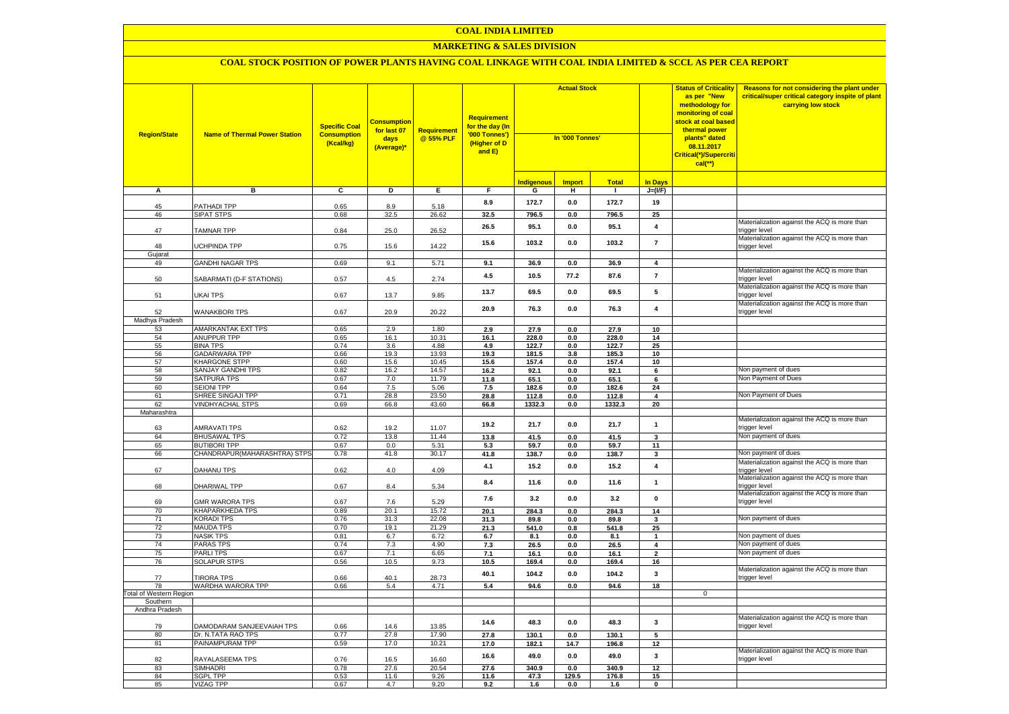#### **MARKETING & SALES DIVISION**

| <b>Region/State</b>            | <b>Name of Thermal Power Station</b>            | <b>Specific Coal</b><br><b>Consumption</b><br>(Kcal/kg) | <b>Consumption</b><br>for last 07<br>days<br>(Average)* | Requirement<br>@ 55% PLF | Requirement<br>for the day (In<br>'000 Tonnes')<br>(Higher of D<br>and E) | <b>Actual Stock</b><br>In '000 Tonnes' |               |              | <b>Status of Criticality</b><br>as per "New<br>methodology for<br>monitoring of coal<br>stock at coal based<br>thermal power<br>plants" dated<br>08.11.2017<br>Critical(*)/Supercriti<br>$cal$ (**) | Reasons for not considering the plant under<br>critical/super critical category inspite of plant<br>carrying low stock |                                                               |
|--------------------------------|-------------------------------------------------|---------------------------------------------------------|---------------------------------------------------------|--------------------------|---------------------------------------------------------------------------|----------------------------------------|---------------|--------------|-----------------------------------------------------------------------------------------------------------------------------------------------------------------------------------------------------|------------------------------------------------------------------------------------------------------------------------|---------------------------------------------------------------|
|                                |                                                 |                                                         |                                                         |                          |                                                                           | <b>Indigenous</b>                      | <b>Import</b> | <b>Total</b> | <b>In Days</b>                                                                                                                                                                                      |                                                                                                                        |                                                               |
| A                              | в                                               | $\overline{c}$                                          | D                                                       | Ε.                       | F.                                                                        | G                                      | н.            | $\mathbf{I}$ | $J=(VF)$                                                                                                                                                                                            |                                                                                                                        |                                                               |
|                                |                                                 |                                                         |                                                         |                          | 8.9                                                                       | 172.7                                  | 0.0           | 172.7        | 19                                                                                                                                                                                                  |                                                                                                                        |                                                               |
| 45<br>46                       | PATHADI TPP<br>SIPAT STPS                       | 0.65<br>0.68                                            | 8.9<br>32.5                                             | 5.18<br>26.62            | 32.5                                                                      | 796.5                                  | 0.0           | 796.5        | 25                                                                                                                                                                                                  |                                                                                                                        |                                                               |
|                                |                                                 |                                                         |                                                         |                          |                                                                           |                                        |               |              |                                                                                                                                                                                                     |                                                                                                                        | Materialization against the ACQ is more than                  |
| 47                             | <b>TAMNAR TPP</b>                               | 0.84                                                    | 25.0                                                    | 26.52                    | 26.5                                                                      | 95.1                                   | 0.0           | 95.1         | $\pmb{4}$                                                                                                                                                                                           |                                                                                                                        | trigger level                                                 |
|                                |                                                 |                                                         |                                                         |                          | 15.6                                                                      | 103.2                                  | 0.0           | 103.2        | $\overline{7}$                                                                                                                                                                                      |                                                                                                                        | Materialization against the ACQ is more than                  |
| 48                             | JCHPINDA TPP                                    | 0.75                                                    | 15.6                                                    | 14.22                    |                                                                           |                                        |               |              |                                                                                                                                                                                                     |                                                                                                                        | trigger level                                                 |
| Gujarat<br>49                  | <b>GANDHI NAGAR TPS</b>                         | 0.69                                                    | 9.1                                                     | 5.71                     | 9.1                                                                       | 36.9                                   | 0.0           | 36.9         | 4                                                                                                                                                                                                   |                                                                                                                        |                                                               |
|                                |                                                 |                                                         |                                                         |                          |                                                                           |                                        |               |              |                                                                                                                                                                                                     |                                                                                                                        | Materialization against the ACQ is more than                  |
| 50                             | SABARMATI (D-F STATIONS)                        | 0.57                                                    | 4.5                                                     | 2.74                     | 4.5                                                                       | 10.5                                   | 77.2          | 87.6         | $\overline{7}$                                                                                                                                                                                      |                                                                                                                        | trigger level                                                 |
|                                |                                                 |                                                         |                                                         |                          |                                                                           |                                        |               |              |                                                                                                                                                                                                     |                                                                                                                        | Materialization against the ACQ is more than                  |
| 51                             | <b>UKAI TPS</b>                                 | 0.67                                                    | 13.7                                                    | 9.85                     | 13.7                                                                      | 69.5                                   | 0.0           | 69.5         | 5                                                                                                                                                                                                   |                                                                                                                        | trigger level                                                 |
|                                |                                                 |                                                         |                                                         |                          | 20.9                                                                      | 76.3                                   | 0.0           | 76.3         | $\overline{4}$                                                                                                                                                                                      |                                                                                                                        | Materialization against the ACQ is more than                  |
| 52                             | <b>WANAKBORI TPS</b>                            | 0.67                                                    | 20.9                                                    | 20.22                    |                                                                           |                                        |               |              |                                                                                                                                                                                                     |                                                                                                                        | trigger level                                                 |
| Madhya Pradesh<br>53           | AMARKANTAK EXT TPS                              | 0.65                                                    | 2.9                                                     | 1.80                     | 2.9                                                                       | 27.9                                   | 0.0           | 27.9         | 10                                                                                                                                                                                                  |                                                                                                                        |                                                               |
| 54                             | <b>ANUPPUR TPP</b>                              | 0.65                                                    | 16.1                                                    | 10.31                    | 16.1                                                                      | 228.0                                  | 0.0           | 228.0        | 14                                                                                                                                                                                                  |                                                                                                                        |                                                               |
| 55                             | <b>BINA TPS</b>                                 | 0.74                                                    | 3.6                                                     | 4.88                     | 4.9                                                                       | 122.7                                  | 0.0           | 122.7        | 25                                                                                                                                                                                                  |                                                                                                                        |                                                               |
| 56                             | <b>GADARWARA TPP</b>                            | 0.66                                                    | 19.3                                                    | 13.93                    | 19.3                                                                      | 181.5                                  | 3.8           | 185.3        | 10                                                                                                                                                                                                  |                                                                                                                        |                                                               |
| 57                             | <b>KHARGONE STPP</b>                            | 0.60                                                    | 15.6                                                    | 10.45                    | 15.6                                                                      | 157.4                                  | 0.0           | 157.4        | 10                                                                                                                                                                                                  |                                                                                                                        |                                                               |
| 58                             | SANJAY GANDHI TPS                               | 0.82                                                    | 16.2                                                    | 14.57                    | 16.2                                                                      | 92.1                                   | 0.0           | 92.1         | 6                                                                                                                                                                                                   |                                                                                                                        | Non payment of dues                                           |
| 59                             | SATPURA TPS                                     | 0.67                                                    | 7.0                                                     | 11.79                    | 11.8                                                                      | 65.1                                   | 0.0           | 65.1         | 6                                                                                                                                                                                                   |                                                                                                                        | Non Payment of Dues                                           |
| 60                             | <b>SEIONI TPP</b>                               | 0.64                                                    | 7.5                                                     | 5.06                     | 7.5                                                                       | 182.6                                  | 0.0           | 182.6        | 24                                                                                                                                                                                                  |                                                                                                                        |                                                               |
| 61                             | SHREE SINGAJI TPP                               | 0.71                                                    | 28.8                                                    | 23.50                    | 28.8                                                                      | 112.8                                  | 0.0           | 112.8        | 4                                                                                                                                                                                                   |                                                                                                                        | Non Payment of Dues                                           |
| 62                             | <b>VINDHYACHAL STPS</b>                         | 0.69                                                    | 66.8                                                    | 43.60                    | 66.8                                                                      | 1332.3                                 | 0.0           | 1332.3       | 20                                                                                                                                                                                                  |                                                                                                                        |                                                               |
| Maharashtra                    |                                                 |                                                         |                                                         |                          |                                                                           |                                        |               |              |                                                                                                                                                                                                     |                                                                                                                        | Materialization against the ACQ is more than                  |
| 63                             | <b>AMRAVATI TPS</b>                             | 0.62                                                    | 19.2                                                    | 11.07                    | 19.2                                                                      | 21.7                                   | 0.0           | 21.7         | $\mathbf{1}$                                                                                                                                                                                        |                                                                                                                        | trigger level                                                 |
| 64                             | <b>BHUSAWAL TPS</b>                             | 0.72                                                    | 13.8                                                    | 11.44                    | 13.8                                                                      | 41.5                                   | 0.0           | 41.5         | $\mathbf{3}$                                                                                                                                                                                        |                                                                                                                        | Non payment of dues                                           |
| 65                             | <b>BUTIBORI TPP</b>                             | 0.67                                                    | 0.0                                                     | 5.31                     | 5.3                                                                       | 59.7                                   | 0.0           | 59.7         | 11                                                                                                                                                                                                  |                                                                                                                        |                                                               |
| 66                             | CHANDRAPUR(MAHARASHTRA) STPS                    | 0.78                                                    | 41.8                                                    | 30.17                    | 41.8                                                                      | 138.7                                  | $0.0\,$       | 138.7        | $\mathbf{3}$                                                                                                                                                                                        |                                                                                                                        | Non payment of dues                                           |
|                                |                                                 |                                                         |                                                         |                          | 4.1                                                                       | 15.2                                   | 0.0           | 15.2         | $\overline{\mathbf{4}}$                                                                                                                                                                             |                                                                                                                        | Materialization against the ACQ is more than                  |
| 67                             | DAHANU TPS                                      | 0.62                                                    | 4.0                                                     | 4.09                     |                                                                           |                                        |               |              |                                                                                                                                                                                                     |                                                                                                                        | trigger level                                                 |
|                                |                                                 |                                                         |                                                         |                          | 8.4                                                                       | 11.6                                   | 0.0           | 11.6         | $\mathbf{1}$                                                                                                                                                                                        |                                                                                                                        | Materialization against the ACQ is more than                  |
| 68                             | DHARIWAL TPP                                    | 0.67                                                    | 8.4                                                     | 5.34                     |                                                                           |                                        |               |              |                                                                                                                                                                                                     |                                                                                                                        | trigger level<br>Materialization against the ACQ is more than |
| 69                             | <b>GMR WARORA TPS</b>                           | 0.67                                                    | 7.6                                                     | 5.29                     | 7.6                                                                       | 3.2                                    | 0.0           | 3.2          | $\pmb{0}$                                                                                                                                                                                           |                                                                                                                        | trigger level                                                 |
| 70                             | <b>KHAPARKHEDA TPS</b>                          | 0.89                                                    | 20.1                                                    | 15.72                    | 20.1                                                                      | 284.3                                  | 0.0           | 284.3        | 14                                                                                                                                                                                                  |                                                                                                                        |                                                               |
| 71                             | <b>KORADI TPS</b>                               | 0.76                                                    | 31.3                                                    | 22.08                    | 31.3                                                                      | 89.8                                   | $0.0\,$       | 89.8         | $\mathbf{3}$                                                                                                                                                                                        |                                                                                                                        | Non payment of dues                                           |
| 72                             | <b>MAUDA TPS</b>                                | 0.70                                                    | 19.1                                                    | 21.29                    | 21.3                                                                      | 541.0                                  | 0.8           | 541.8        | 25                                                                                                                                                                                                  |                                                                                                                        |                                                               |
| 73                             | <b>NASIK TPS</b>                                | 0.81                                                    | 6.7                                                     | 6.72                     | 6.7                                                                       | 8.1                                    | 0.0           | 8.1          | $\mathbf{1}$                                                                                                                                                                                        |                                                                                                                        | Non payment of dues                                           |
| 74                             | <b>PARAS TPS</b>                                | 0.74                                                    | 7.3                                                     | 4.90                     | 7.3                                                                       | 26.5                                   | 0.0           | 26.5         | $\overline{\mathbf{4}}$                                                                                                                                                                             |                                                                                                                        | Non payment of dues                                           |
| 75                             | <b>PARLITPS</b>                                 | 0.67                                                    | 7.1                                                     | 6.65                     | 7.1                                                                       | 16.1                                   | 0.0           | 16.1         | $\overline{2}$                                                                                                                                                                                      |                                                                                                                        | Non payment of dues                                           |
| 76                             | <b>SOLAPUR STPS</b>                             | 0.56                                                    | 10.5                                                    | 9.73                     | 10.5                                                                      | 169.4                                  | 0.0           | 169.4        | 16                                                                                                                                                                                                  |                                                                                                                        | Materialization against the ACQ is more than                  |
| 77                             | <b>TIRORA TPS</b>                               | 0.66                                                    | 40.1                                                    | 28.73                    | 40.1                                                                      | 104.2                                  | 0.0           | 104.2        | $\overline{\mathbf{3}}$                                                                                                                                                                             |                                                                                                                        | trigger level                                                 |
| 78                             | WARDHA WARORA TPP                               | 0.66                                                    | 5.4                                                     | 4.71                     | 5.4                                                                       | 94.6                                   | 0.0           | 94.6         | 18                                                                                                                                                                                                  |                                                                                                                        |                                                               |
| <b>Total of Western Region</b> |                                                 |                                                         |                                                         |                          |                                                                           |                                        |               |              |                                                                                                                                                                                                     | $\mathbf 0$                                                                                                            |                                                               |
| Southern                       |                                                 |                                                         |                                                         |                          |                                                                           |                                        |               |              |                                                                                                                                                                                                     |                                                                                                                        |                                                               |
| Andhra Pradesh                 |                                                 |                                                         |                                                         |                          |                                                                           |                                        |               |              |                                                                                                                                                                                                     |                                                                                                                        |                                                               |
|                                |                                                 |                                                         |                                                         |                          | 14.6                                                                      | 48.3                                   | 0.0           | 48.3         | $\mathbf{3}$                                                                                                                                                                                        |                                                                                                                        | Materialization against the ACQ is more than                  |
| 79<br>80                       | DAMODARAM SANJEEVAIAH TPS<br>Dr. N.TATA RAO TPS | 0.66<br>0.77                                            | 14.6<br>27.8                                            | 13.85<br>17.90           |                                                                           | 130.1                                  | 0.0           | 130.1        | $\overline{\mathbf{5}}$                                                                                                                                                                             |                                                                                                                        | trigger level                                                 |
| 81                             | PAINAMPURAM TPP                                 | 0.59                                                    | 17.0                                                    | 10.21                    | 27.8<br>17.0                                                              |                                        | 14.7          |              |                                                                                                                                                                                                     |                                                                                                                        |                                                               |
|                                |                                                 |                                                         |                                                         |                          |                                                                           | 182.1                                  |               | 196.8        | 12                                                                                                                                                                                                  |                                                                                                                        | Materialization against the ACQ is more than                  |
| 82                             | RAYALASEEMA TPS                                 | 0.76                                                    | 16.5                                                    | 16.60                    | 16.6                                                                      | 49.0                                   | $0.0\,$       | 49.0         | $\mathbf 3$                                                                                                                                                                                         |                                                                                                                        | trigger level                                                 |
| 83                             | <b>SIMHADRI</b>                                 | 0.78                                                    | 27.6                                                    | 20.54                    | 27.6                                                                      | 340.9                                  | 0.0           | 340.9        | $\overline{12}$                                                                                                                                                                                     |                                                                                                                        |                                                               |
| 84                             | <b>SGPL TPP</b>                                 | 0.53                                                    | 11.6                                                    | 9.26                     | 11.6                                                                      | 47.3                                   | 129.5         | 176.8        | 15                                                                                                                                                                                                  |                                                                                                                        |                                                               |
| 85                             | <b>VIZAG TPP</b>                                | 0.67                                                    | 4.7                                                     | 9.20                     | 9.2                                                                       | 1.6                                    | 0.0           | 1.6          | $\mathbf 0$                                                                                                                                                                                         |                                                                                                                        |                                                               |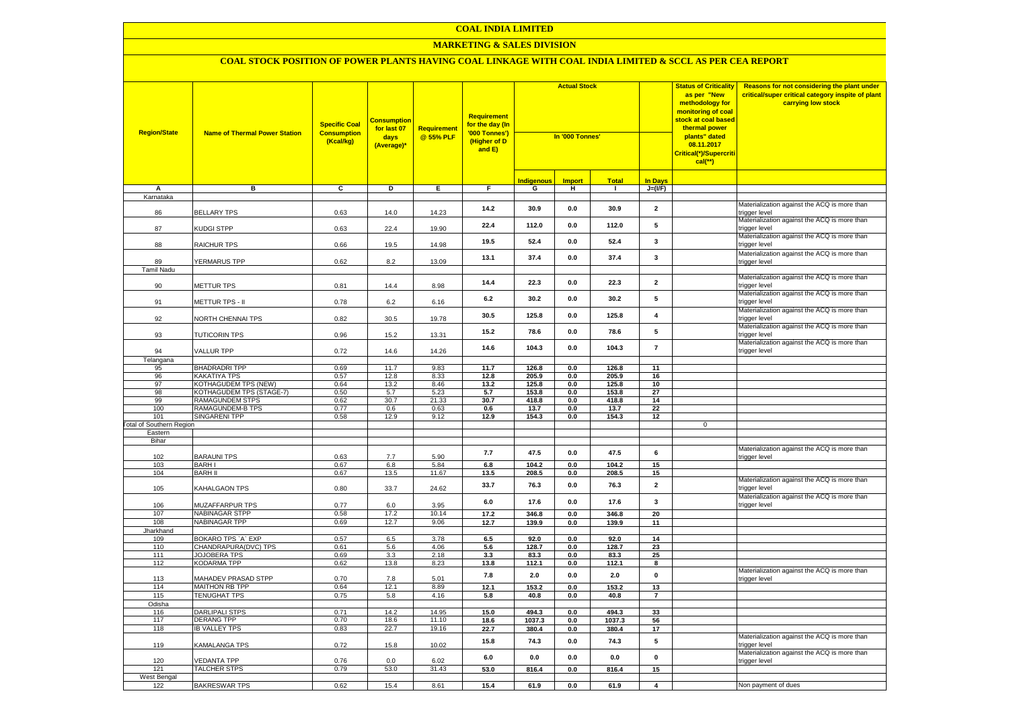#### **MARKETING & SALES DIVISION**

| <b>Region/State</b>             | <b>Name of Thermal Power Station</b>                     | <b>Specific Coal</b><br><b>Consumption</b><br>(Kcal/kg) | <b>Consumption</b><br>for last 07<br>days<br>(Average)* | <b>Requirement</b><br>@ 55% PLF | Requirement<br>for the day (In<br>'000 Tonnes')<br>(Higher of D<br>and E) | <b>Actual Stock</b><br>In '000 Tonnes' |               |                |                         | <b>Status of Criticality</b><br>as per "New<br>methodology for<br><mark>monitoring of coal</mark><br>stock at coal based<br>thermal power<br>plants" dated<br>08.11.2017<br>Critical(*)/Supercriti<br>$cal$ (**) | Reasons for not considering the plant under<br>critical/super critical category inspite of plant<br>carrying low stock |
|---------------------------------|----------------------------------------------------------|---------------------------------------------------------|---------------------------------------------------------|---------------------------------|---------------------------------------------------------------------------|----------------------------------------|---------------|----------------|-------------------------|------------------------------------------------------------------------------------------------------------------------------------------------------------------------------------------------------------------|------------------------------------------------------------------------------------------------------------------------|
|                                 |                                                          |                                                         |                                                         |                                 |                                                                           | <u>Indigenous</u>                      | <b>Import</b> | <b>Total</b>   | <b>In Days</b>          |                                                                                                                                                                                                                  |                                                                                                                        |
| Α                               | в                                                        | $\overline{c}$                                          | Þ                                                       | E                               | F                                                                         | G                                      | н             | $\mathbf{I}$   | $J=(VF)$                |                                                                                                                                                                                                                  |                                                                                                                        |
| Karnataka                       |                                                          |                                                         |                                                         |                                 |                                                                           |                                        |               |                |                         |                                                                                                                                                                                                                  |                                                                                                                        |
| 86                              | <b>BELLARY TPS</b>                                       | 0.63                                                    | 14.0                                                    | 14.23                           | 14.2                                                                      | 30.9                                   | 0.0           | 30.9           | $\overline{\mathbf{2}}$ |                                                                                                                                                                                                                  | Materialization against the ACQ is more than<br>trigger level<br>Materialization against the ACQ is more than          |
| 87                              | KUDGI STPP                                               | 0.63                                                    | 22.4                                                    | 19.90                           | 22.4                                                                      | 112.0                                  | 0.0           | 112.0          | 5                       |                                                                                                                                                                                                                  | trigger level<br>Materialization against the ACQ is more than                                                          |
| 88                              | RAICHUR TPS                                              | 0.66                                                    | 19.5                                                    | 14.98                           | 19.5                                                                      | 52.4                                   | 0.0           | 52.4           | $\mathbf{3}$            |                                                                                                                                                                                                                  | trigger level                                                                                                          |
| 89                              | <b>YERMARUS TPP</b>                                      | 0.62                                                    | 8.2                                                     | 13.09                           | 13.1                                                                      | 37.4                                   | 0.0           | 37.4           | 3                       |                                                                                                                                                                                                                  | Materialization against the ACQ is more than<br>trigger level                                                          |
| Tamil Nadu                      |                                                          |                                                         |                                                         |                                 |                                                                           |                                        |               |                |                         |                                                                                                                                                                                                                  | Materialization against the ACQ is more than                                                                           |
| 90                              | <b>METTUR TPS</b>                                        | 0.81                                                    | 14.4                                                    | 8.98                            | 14.4                                                                      | 22.3                                   | 0.0           | 22.3           | $\mathbf{2}$            |                                                                                                                                                                                                                  | trigger level                                                                                                          |
| 91                              | <b>METTUR TPS - II</b>                                   | 0.78                                                    | 6.2                                                     | 6.16                            | 6.2                                                                       | 30.2                                   | 0.0           | 30.2           | 5                       |                                                                                                                                                                                                                  | Materialization against the ACQ is more than<br>trigger level                                                          |
| 92                              | <b>VORTH CHENNAI TPS</b>                                 | 0.82                                                    | 30.5                                                    | 19.78                           | 30.5                                                                      | 125.8                                  | 0.0           | 125.8          | $\overline{\mathbf{4}}$ |                                                                                                                                                                                                                  | Materialization against the ACQ is more than<br>trigger level                                                          |
| 93                              | <b>TUTICORIN TPS</b>                                     | 0.96                                                    | 15.2                                                    | 13.31                           | 15.2                                                                      | 78.6                                   | 0.0           | 78.6           | 5                       |                                                                                                                                                                                                                  | Materialization against the ACQ is more than<br>trigger level                                                          |
| 94                              | <b>VALLUR TPP</b>                                        | 0.72                                                    | 14.6                                                    | 14.26                           | 14.6                                                                      | 104.3                                  | 0.0           | 104.3          | $\overline{7}$          |                                                                                                                                                                                                                  | Materialization against the ACQ is more than<br>trigger level                                                          |
| Telangana                       |                                                          |                                                         | 11.7                                                    |                                 |                                                                           |                                        |               |                |                         |                                                                                                                                                                                                                  |                                                                                                                        |
| 95<br>96                        | <b>BHADRADRI TPP</b><br><b>KAKATIYA TPS</b>              | 0.69<br>0.57                                            | 12.8                                                    | 9.83<br>8.33                    | 11.7<br>12.8                                                              | 126.8<br>205.9                         | 0.0<br>0.0    | 126.8<br>205.9 | 11<br>16                |                                                                                                                                                                                                                  |                                                                                                                        |
| 97                              | KOTHAGUDEM TPS (NEW)                                     | 0.64                                                    | 13.2                                                    | 8.46                            | 13.2                                                                      | 125.8                                  | 0.0           | 125.8          | 10                      |                                                                                                                                                                                                                  |                                                                                                                        |
| 98                              | <b><othagudem (stage-7)<="" b="" tps=""></othagudem></b> | 0.50                                                    | 5.7                                                     | 5.23                            | 5.7                                                                       | 153.8                                  | 0.0           | 153.8          | 27                      |                                                                                                                                                                                                                  |                                                                                                                        |
| 99                              | RAMAGUNDEM STPS                                          | 0.62                                                    | 30.7                                                    | 21.33                           | 30.7                                                                      | 418.8                                  | 0.0           | 418.8          | 14                      |                                                                                                                                                                                                                  |                                                                                                                        |
| 100                             | RAMAGUNDEM-B TPS                                         | 0.77                                                    | 0.6                                                     | 0.63                            | 0.6                                                                       | 13.7                                   | 0.0           | 13.7           | 22                      |                                                                                                                                                                                                                  |                                                                                                                        |
| 101                             | <b>SINGARENI TPP</b>                                     | 0.58                                                    | 12.9                                                    | 9.12                            | 12.9                                                                      | 154.3                                  | 0.0           | 154.3          | 12                      |                                                                                                                                                                                                                  |                                                                                                                        |
| <b>Total of Southern Region</b> |                                                          |                                                         |                                                         |                                 |                                                                           |                                        |               |                |                         | 0                                                                                                                                                                                                                |                                                                                                                        |
| Eastern<br>Bihar                |                                                          |                                                         |                                                         |                                 |                                                                           |                                        |               |                |                         |                                                                                                                                                                                                                  |                                                                                                                        |
|                                 |                                                          |                                                         |                                                         |                                 |                                                                           |                                        |               |                |                         |                                                                                                                                                                                                                  | Materialization against the ACQ is more than                                                                           |
| 102                             | <b>BARAUNI TPS</b>                                       | 0.63                                                    | 7.7                                                     | 5.90                            | 7.7                                                                       | 47.5                                   | 0.0           | 47.5           | 6                       |                                                                                                                                                                                                                  | trigger level                                                                                                          |
| 103                             | <b>BARH I</b>                                            | 0.67                                                    | 6.8                                                     | 5.84                            | 6.8                                                                       | 104.2                                  | 0.0           | 104.2          | 15                      |                                                                                                                                                                                                                  |                                                                                                                        |
| 104                             | <b>BARH II</b>                                           | 0.67                                                    | 13.5                                                    | 11.67                           | 13.5                                                                      | 208.5                                  | 0.0           | 208.5          | 15                      |                                                                                                                                                                                                                  |                                                                                                                        |
| 105                             | KAHALGAON TPS                                            | 0.80                                                    | 33.7                                                    | 24.62                           | 33.7                                                                      | 76.3                                   | $0.0\,$       | 76.3           | $\mathbf{2}$            |                                                                                                                                                                                                                  | Materialization against the ACQ is more than<br>trigger level                                                          |
| 106                             | MUZAFFARPUR TPS                                          | 0.77                                                    | 6.0                                                     | 3.95                            | 6.0                                                                       | 17.6                                   | 0.0           | 17.6           | $\mathbf{3}$            |                                                                                                                                                                                                                  | Materialization against the ACQ is more than<br>trigger level                                                          |
| 107                             | NABINAGAR STPP                                           | 0.58                                                    | 17.2                                                    | 10.14                           | 17.2                                                                      | 346.8                                  | 0.0           | 346.8          | 20                      |                                                                                                                                                                                                                  |                                                                                                                        |
| 108<br>Jharkhand                | NABINAGAR TPP                                            | 0.69                                                    | 12.7                                                    | 9.06                            | 12.7                                                                      | 139.9                                  | $0.0\,$       | 139.9          | 11                      |                                                                                                                                                                                                                  |                                                                                                                        |
| 109                             | BOKARO TPS 'A' EXP                                       | 0.57                                                    | 6.5                                                     | 3.78                            | 6.5                                                                       | 92.0                                   | 0.0           | 92.0           | 14                      |                                                                                                                                                                                                                  |                                                                                                                        |
| 110                             | CHANDRAPURA(DVC) TPS                                     | 0.61                                                    | 5.6                                                     | 4.06                            | 5.6                                                                       | 128.7                                  | 0.0           | 128.7          | 23                      |                                                                                                                                                                                                                  |                                                                                                                        |
| 111                             | <b>JOJOBERA TPS</b>                                      | 0.69                                                    | 3.3                                                     | 2.18                            | 3.3                                                                       | 83.3                                   | 0.0           | 83.3           | 25                      |                                                                                                                                                                                                                  |                                                                                                                        |
| 112                             | <b>KODARMA TPP</b>                                       | 0.62                                                    | 13.8                                                    | 8.23                            | 13.8                                                                      | 112.1                                  | 0.0           | 112.1          | 8                       |                                                                                                                                                                                                                  |                                                                                                                        |
| 113                             | MAHADEV PRASAD STPP                                      | 0.70                                                    | 7.8                                                     | 5.01                            | 7.8                                                                       | 2.0                                    | 0.0           | 2.0            | $\mathbf 0$             |                                                                                                                                                                                                                  | Materialization against the ACQ is more than<br>rigger level                                                           |
| 114                             | <b>MAITHON RB TPP</b>                                    | 0.64                                                    | 12.1                                                    | 8.89                            | 12.1                                                                      | 153.2                                  | 0.0           | 153.2          | 13                      |                                                                                                                                                                                                                  |                                                                                                                        |
| 115                             | <b>TENUGHAT TPS</b>                                      | 0.75                                                    | 5.8                                                     | 4.16                            | $5.8\,$                                                                   | 40.8                                   | 0.0           | 40.8           | $\overline{7}$          |                                                                                                                                                                                                                  |                                                                                                                        |
| Odisha<br>116                   | <b>DARLIPALI STPS</b>                                    | 0.71                                                    | 14.2                                                    | 14.95                           | 15.0                                                                      | 494.3                                  | 0.0           | 494.3          | 33                      |                                                                                                                                                                                                                  |                                                                                                                        |
| 117                             | <b>DERANG TPP</b>                                        | 0.70                                                    | 18.6                                                    | 11.10                           | 18.6                                                                      | 1037.3                                 | 0.0           | 1037.3         | 56                      |                                                                                                                                                                                                                  |                                                                                                                        |
| 118                             | <b>IB VALLEY TPS</b>                                     | 0.83                                                    | 22.7                                                    | 19.16                           | 22.7                                                                      | 380.4                                  | 0.0           | 380.4          | $17\,$                  |                                                                                                                                                                                                                  |                                                                                                                        |
| 119                             | KAMALANGA TPS                                            | 0.72                                                    | 15.8                                                    | 10.02                           | 15.8                                                                      | 74.3                                   | $0.0\,$       | 74.3           | ${\bf 5}$               |                                                                                                                                                                                                                  | Materialization against the ACQ is more than<br>rigger level                                                           |
| 120                             | <b>/EDANTA TPP</b>                                       | 0.76                                                    | 0.0                                                     | 6.02                            | 6.0                                                                       | 0.0                                    | 0.0           | $0.0\,$        | $\mathbf{0}$            |                                                                                                                                                                                                                  | Materialization against the ACQ is more than<br>trigger level                                                          |
| 121                             | <b>TALCHER STPS</b>                                      | 0.79                                                    | 53.0                                                    | 31.43                           | 53.0                                                                      | 816.4                                  | 0.0           | 816.4          | 15                      |                                                                                                                                                                                                                  |                                                                                                                        |
| West Bengal                     |                                                          |                                                         |                                                         |                                 |                                                                           |                                        |               |                |                         |                                                                                                                                                                                                                  |                                                                                                                        |
| 122                             | <b>BAKRESWAR TPS</b>                                     | 0.62                                                    | 15.4                                                    | 8.61                            | 15.4                                                                      | 61.9                                   | 0.0           | 61.9           | $\overline{4}$          |                                                                                                                                                                                                                  | Non payment of dues                                                                                                    |